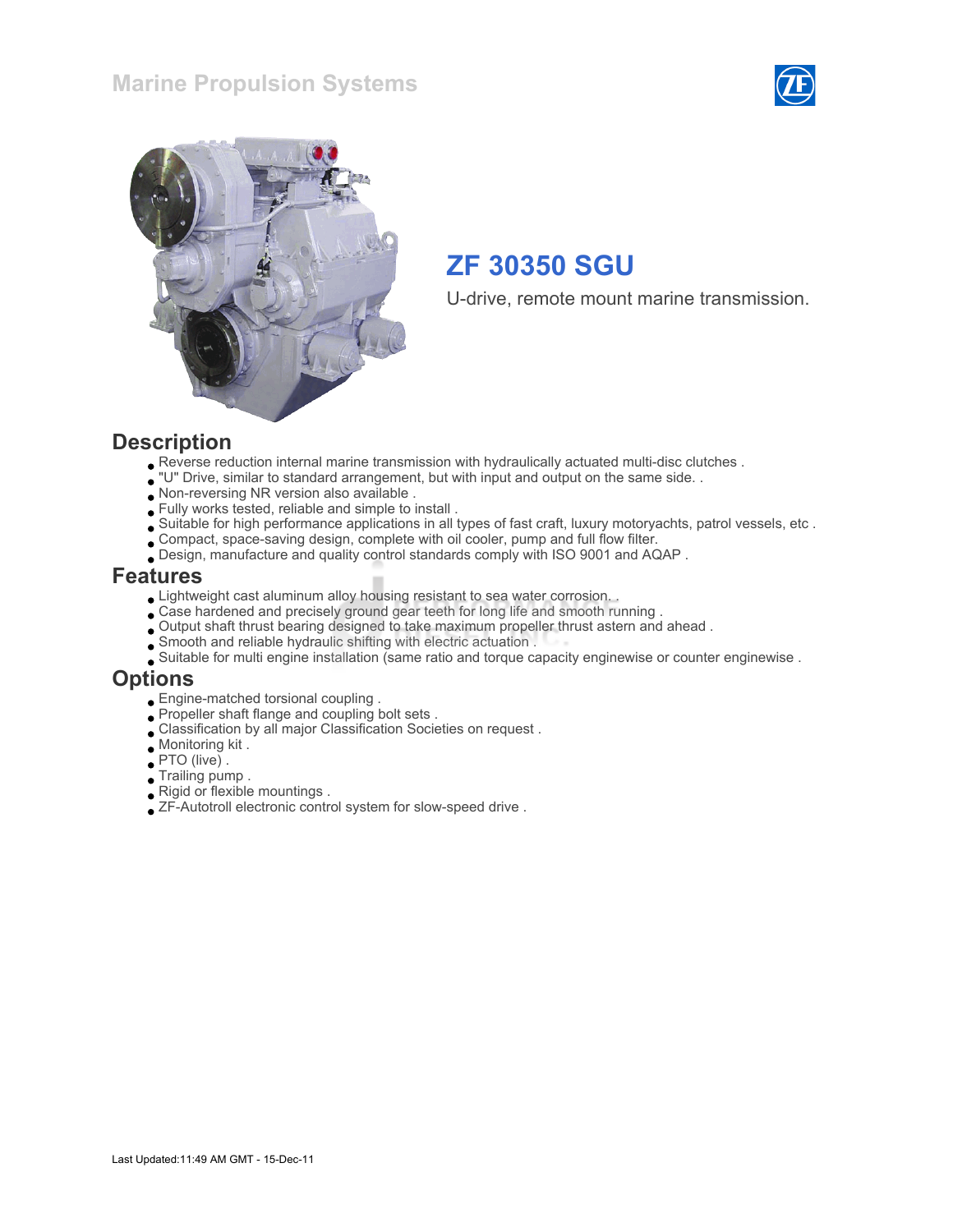



U-drive, remote mount marine transmission.

#### **Description**

- Reverse reduction internal marine transmission with hydraulically actuated multi-disc clutches .
- "U" Drive, similar to standard arrangement, but with input and output on the same side. .
- Non-reversing NR version also available .
- Fully works tested, reliable and simple to install .
- Suitable for high performance applications in all types of fast craft, luxury motoryachts, patrol vessels, etc .
- Compact, space-saving design, complete with oil cooler, pump and full flow filter.
- Design, manufacture and quality control standards comply with ISO 9001 and AQAP .

#### Features

- Lightweight cast aluminum alloy housing resistant to sea water corrosion. .
- Case hardened and precisely ground gear teeth for long life and smooth running .
- Output shaft thrust bearing designed to take maximum propeller thrust astern and ahead .
- Smooth and reliable hydraulic shifting with electric actuation .
- Suitable for multi engine installation (same ratio and torque capacity enginewise or counter enginewise .

#### Options

- Engine-matched torsional coupling .
- Propeller shaft flange and coupling bolt sets .
- Classification by all major Classification Societies on request .
- Monitoring kit .
- PTO (live) .
- Trailing pump .
- Rigid or flexible mountings .
- ZF-Autotroll electronic control system for slow-speed drive .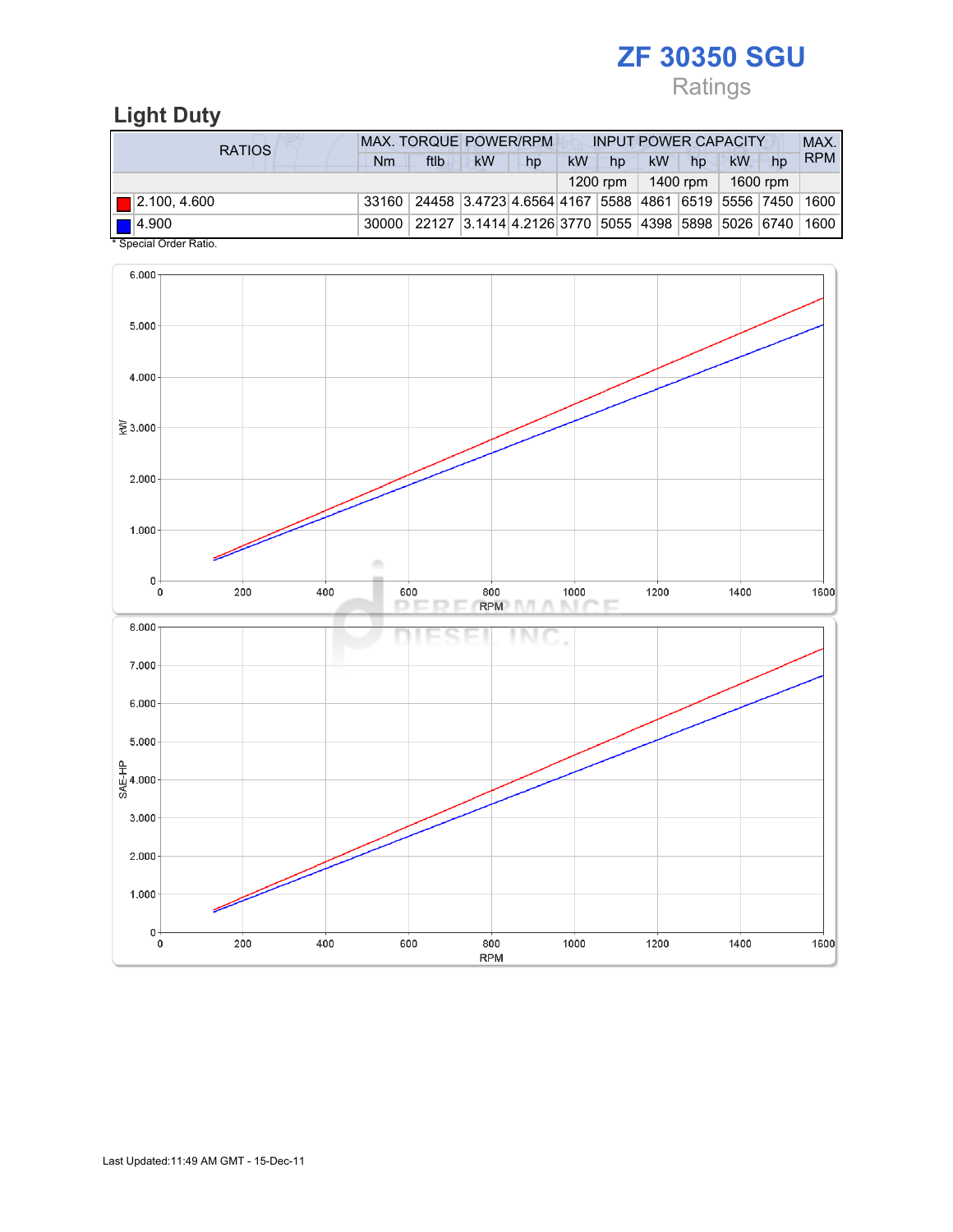## Ratings

## Light Duty

| RATIOS                                            | <b>MAX. TORQUE POWER/RPM</b> |                                                              |           |    |           | <b>INPUT POWER CAPACITY</b> |           |    |          |    |            |
|---------------------------------------------------|------------------------------|--------------------------------------------------------------|-----------|----|-----------|-----------------------------|-----------|----|----------|----|------------|
|                                                   | Nm                           | ftlb                                                         | <b>kW</b> | hp | <b>kW</b> | hp                          | <b>kW</b> | hp | kW       | hp | <b>RPM</b> |
|                                                   |                              |                                                              |           |    |           | 1200 rpm                    | 1400 rpm  |    | 1600 rpm |    |            |
| $\blacksquare$ 2.100, 4.600                       |                              | 33160 24458 3.4723 4.6564 4167 5588 4861 6519 5556 7450 1600 |           |    |           |                             |           |    |          |    |            |
| $\blacksquare$ 4.900<br>$*$ Consider Order Detter | 30000                        | 22127 3.1414 4.2126 3770 5055 4398 5898 5026 6740 1600       |           |    |           |                             |           |    |          |    |            |

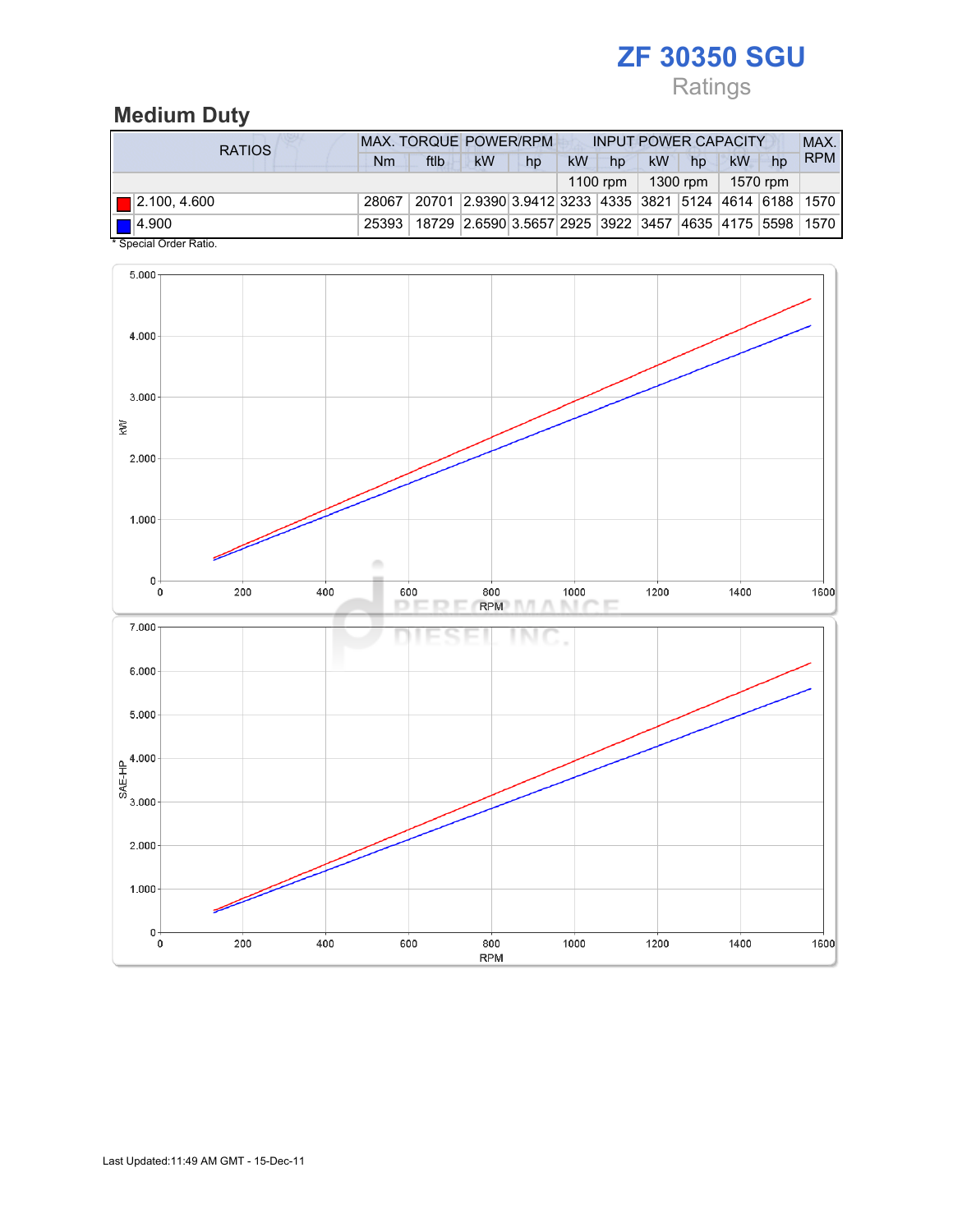# Ratings

### Medium Duty

| RATIOS                                                | <b>MAX. TORQUE POWER/RPM</b> |                                                                              |    |    |           | <b>INPUT POWER CAPACITY</b> |                                |    |    |    |            |
|-------------------------------------------------------|------------------------------|------------------------------------------------------------------------------|----|----|-----------|-----------------------------|--------------------------------|----|----|----|------------|
|                                                       | Nm                           | ftlb                                                                         | kW | hp | <b>kW</b> | hp                          | <b>kW</b>                      | hp | kW | hp | <b>RPM</b> |
|                                                       |                              |                                                                              |    |    |           |                             | 1100 rpm   1300 rpm   1570 rpm |    |    |    |            |
| $\blacksquare$ 2.100, 4.600                           | 28067                        | 20701   2.9390   3.9412   3233   4335   3821   5124   4614   6188   1570     |    |    |           |                             |                                |    |    |    |            |
| $\blacksquare$ 4.900<br>$*$ Consider Codes Definition |                              | 25393   18729   2.6590 3.5657 2925   3922   3457   4635   4175   5598   1570 |    |    |           |                             |                                |    |    |    |            |

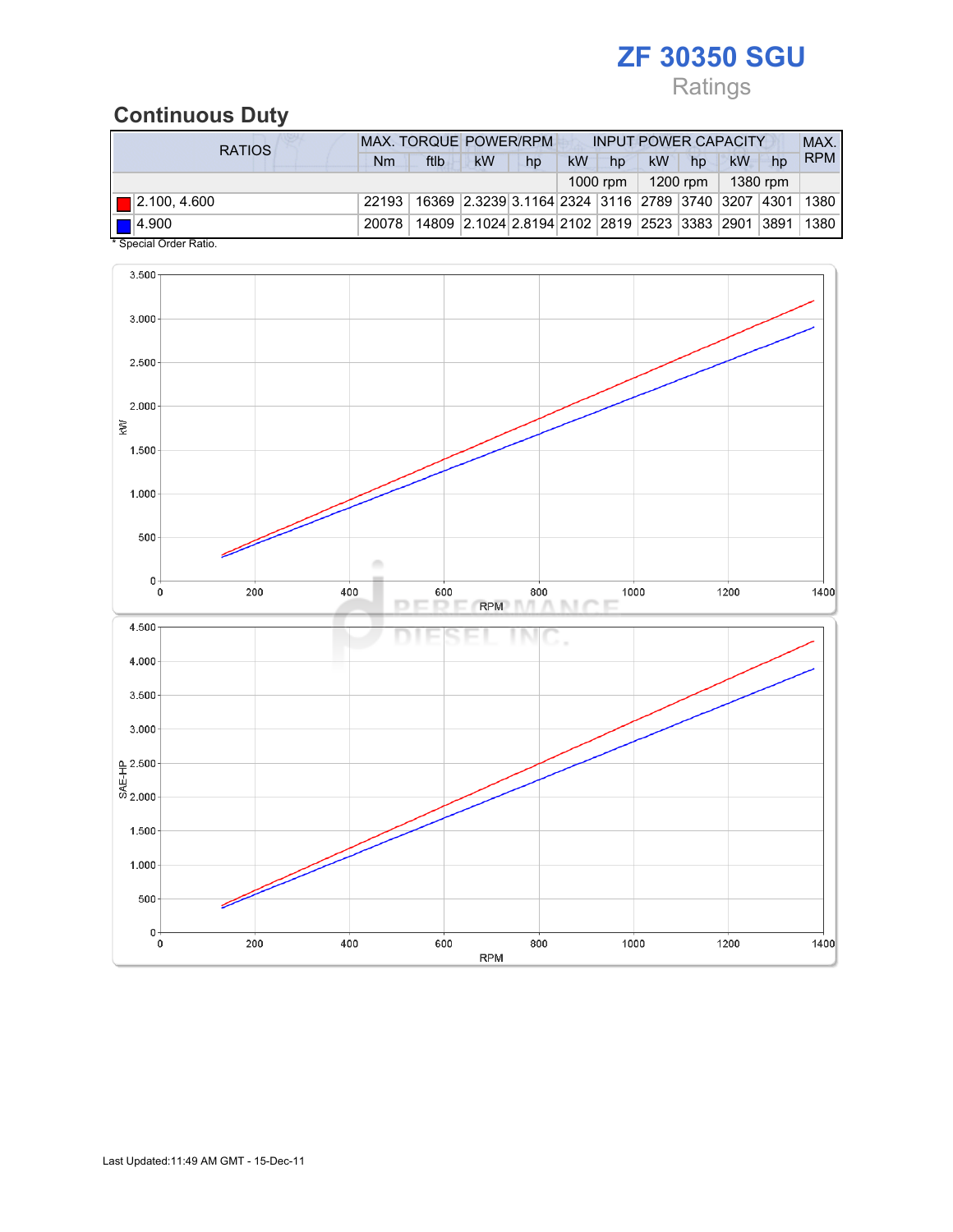# Ratings

## Continuous Duty

| RATIOS                                            | <b>MAX. TORQUE POWER/RPM</b>                                                     |      |                                                        |    |           | <b>INPUT POWER CAPACITY</b> |           |                     |    |    |            |
|---------------------------------------------------|----------------------------------------------------------------------------------|------|--------------------------------------------------------|----|-----------|-----------------------------|-----------|---------------------|----|----|------------|
|                                                   | Nm                                                                               | ftlb | <b>kW</b>                                              | hp | <b>kW</b> | hp                          | <b>kW</b> | hp                  | kW | hp | <b>RPM</b> |
|                                                   |                                                                                  |      |                                                        |    |           | 1000 rpm                    |           | 1200 rpm   1380 rpm |    |    |            |
| $\boxed{ }$ 2.100, 4.600                          | 22193   16369   2.3239   3.1164   2324   3116   2789   3740   3207   4301   1380 |      |                                                        |    |           |                             |           |                     |    |    |            |
| $\blacksquare$ 4.900<br>$*$ Consider Order Detter | 20078                                                                            |      | 14809 2.1024 2.8194 2102 2819 2523 3383 2901 3891 1380 |    |           |                             |           |                     |    |    |            |

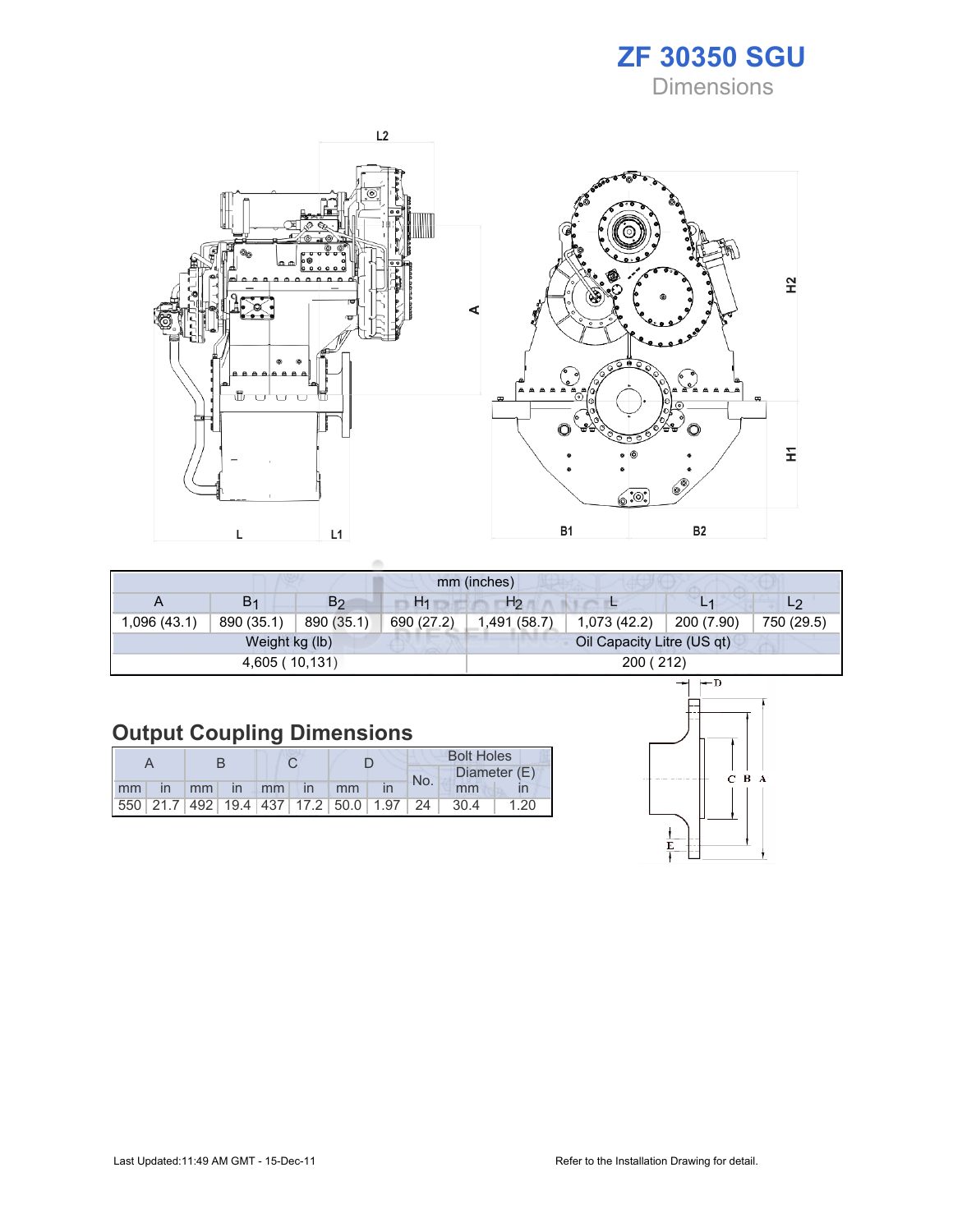



|             |                |                |                | mm (inches)    |                            |            |                |
|-------------|----------------|----------------|----------------|----------------|----------------------------|------------|----------------|
| A           | B <sub>1</sub> | B <sub>2</sub> | H <sub>1</sub> | H <sub>2</sub> |                            |            | L <sub>2</sub> |
| (43.1) 096. | 890 (35.1)     | 890 (35.1)     | 690 (27.2)     | 1,491 (58.7)   | 1,073(42.2)                | 200 (7.90) | 750 (29.5)     |
|             | Weight kg (lb) |                |                |                | Oil Capacity Litre (US qt) |            |                |
|             | 4,605 (10,131) |                |                |                | 200 (212)                  |            |                |

## Output Coupling Dimensions

|                      |  |  |  |                                                         | <b>Bolt Holes</b> |        |              |  |  |
|----------------------|--|--|--|---------------------------------------------------------|-------------------|--------|--------------|--|--|
|                      |  |  |  |                                                         | No.               |        | Diameter (E) |  |  |
| mm in mm in mm in mm |  |  |  |                                                         |                   | mm     |              |  |  |
|                      |  |  |  | 550   21.7   492   19.4   437   17.2   50.0   1.97   24 |                   | - 30.4 | 1.20         |  |  |